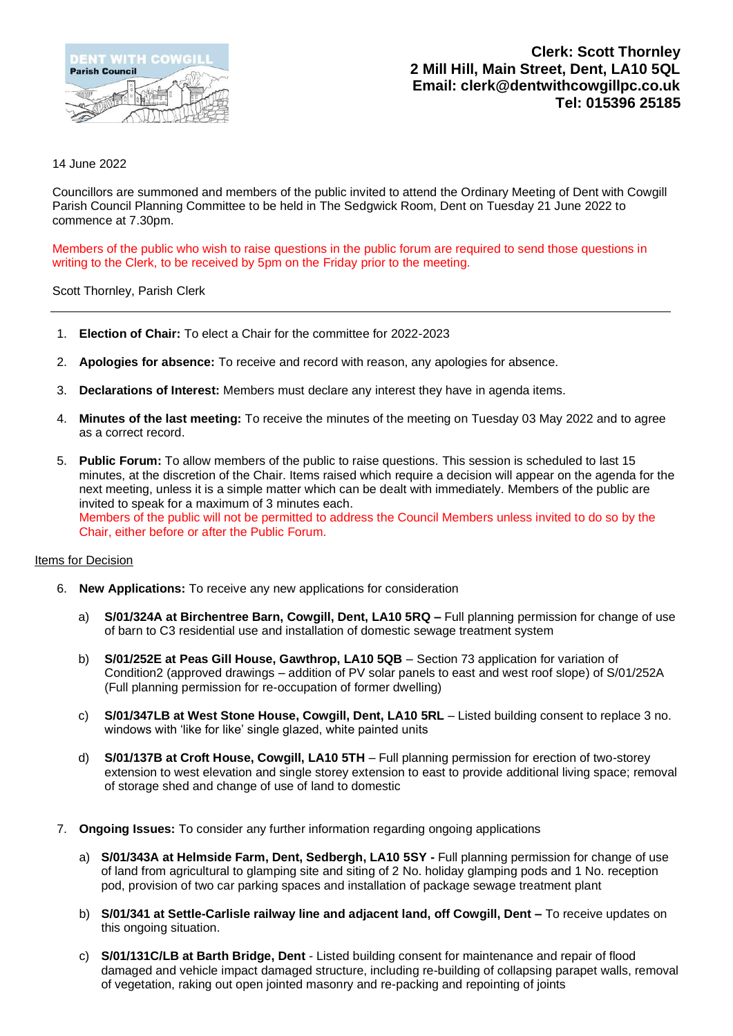

**Clerk: Scott Thornley 2 Mill Hill, Main Street, Dent, LA10 5QL Email: clerk@dentwithcowgillpc.co.uk Tel: 015396 25185**

## 14 June 2022

Councillors are summoned and members of the public invited to attend the Ordinary Meeting of Dent with Cowgill Parish Council Planning Committee to be held in The Sedgwick Room, Dent on Tuesday 21 June 2022 to commence at 7.30pm.

Members of the public who wish to raise questions in the public forum are required to send those questions in writing to the Clerk, to be received by 5pm on the Friday prior to the meeting.

## Scott Thornley, Parish Clerk

- 1. **Election of Chair:** To elect a Chair for the committee for 2022-2023
- 2. **Apologies for absence:** To receive and record with reason, any apologies for absence.
- 3. **Declarations of Interest:** Members must declare any interest they have in agenda items.
- 4. **Minutes of the last meeting:** To receive the minutes of the meeting on Tuesday 03 May 2022 and to agree as a correct record.
- 5. **Public Forum:** To allow members of the public to raise questions. This session is scheduled to last 15 minutes, at the discretion of the Chair. Items raised which require a decision will appear on the agenda for the next meeting, unless it is a simple matter which can be dealt with immediately. Members of the public are invited to speak for a maximum of 3 minutes each. Members of the public will not be permitted to address the Council Members unless invited to do so by the Chair, either before or after the Public Forum.

## Items for Decision

- 6. **New Applications:** To receive any new applications for consideration
	- a) **S/01/324A at Birchentree Barn, Cowgill, Dent, LA10 5RQ –** Full planning permission for change of use of barn to C3 residential use and installation of domestic sewage treatment system
	- b) **S/01/252E at Peas Gill House, Gawthrop, LA10 5QB** Section 73 application for variation of Condition2 (approved drawings – addition of PV solar panels to east and west roof slope) of S/01/252A (Full planning permission for re-occupation of former dwelling)
	- c) **S/01/347LB at West Stone House, Cowgill, Dent, LA10 5RL** Listed building consent to replace 3 no. windows with 'like for like' single glazed, white painted units
	- d) **S/01/137B at Croft House, Cowgill, LA10 5TH** Full planning permission for erection of two-storey extension to west elevation and single storey extension to east to provide additional living space; removal of storage shed and change of use of land to domestic
- 7. **Ongoing Issues:** To consider any further information regarding ongoing applications
	- a) **S/01/343A at Helmside Farm, Dent, Sedbergh, LA10 5SY -** Full planning permission for change of use of land from agricultural to glamping site and siting of 2 No. holiday glamping pods and 1 No. reception pod, provision of two car parking spaces and installation of package sewage treatment plant
	- b) **S/01/341 at Settle-Carlisle railway line and adjacent land, off Cowgill, Dent –** To receive updates on this ongoing situation.
	- c) **S/01/131C/LB at Barth Bridge, Dent** Listed building consent for maintenance and repair of flood damaged and vehicle impact damaged structure, including re-building of collapsing parapet walls, removal of vegetation, raking out open jointed masonry and re-packing and repointing of joints